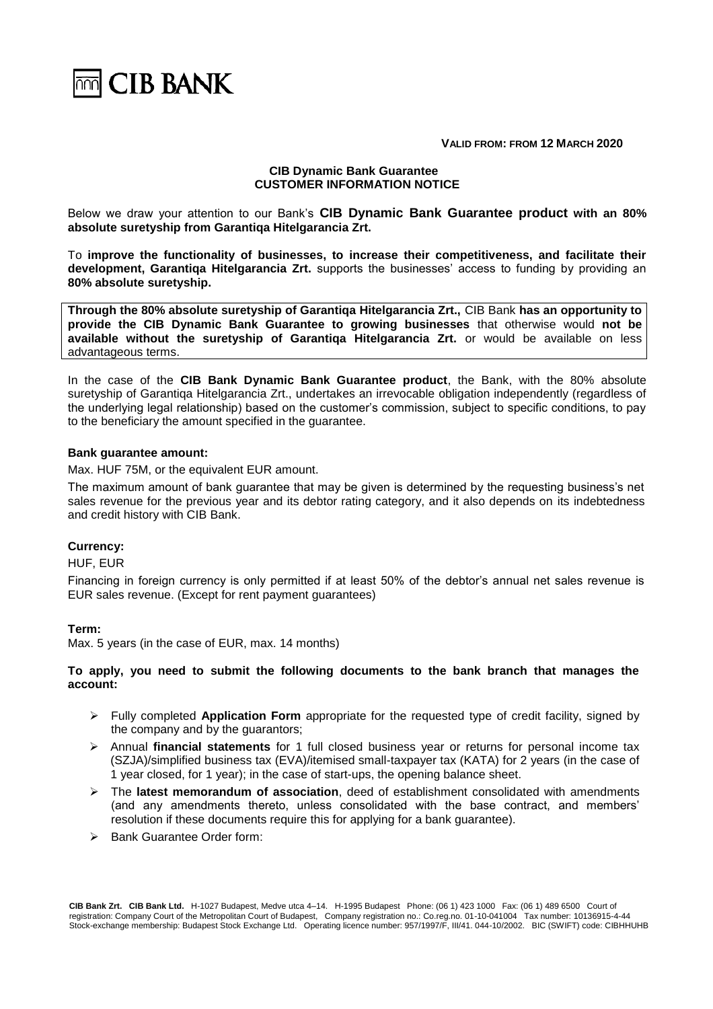

**VALID FROM: FROM 12 MARCH 2020**

### **CIB Dynamic Bank Guarantee CUSTOMER INFORMATION NOTICE**

Below we draw your attention to our Bank's **CIB Dynamic Bank Guarantee product with an 80% absolute suretyship from Garantiqa Hitelgarancia Zrt.**

To **improve the functionality of businesses, to increase their competitiveness, and facilitate their development, Garantiqa Hitelgarancia Zrt.** supports the businesses' access to funding by providing an **80% absolute suretyship.**

**Through the 80% absolute suretyship of Garantiqa Hitelgarancia Zrt.,** CIB Bank **has an opportunity to provide the CIB Dynamic Bank Guarantee to growing businesses** that otherwise would **not be available without the suretyship of Garantiqa Hitelgarancia Zrt.** or would be available on less advantageous terms.

In the case of the **CIB Bank Dynamic Bank Guarantee product**, the Bank, with the 80% absolute suretyship of Garantiqa Hitelgarancia Zrt., undertakes an irrevocable obligation independently (regardless of the underlying legal relationship) based on the customer's commission, subject to specific conditions, to pay to the beneficiary the amount specified in the guarantee.

### **Bank guarantee amount:**

Max. HUF 75M, or the equivalent EUR amount.

The maximum amount of bank guarantee that may be given is determined by the requesting business's net sales revenue for the previous year and its debtor rating category, and it also depends on its indebtedness and credit history with CIB Bank.

### **Currency:**

HUF, EUR

Financing in foreign currency is only permitted if at least 50% of the debtor's annual net sales revenue is EUR sales revenue. (Except for rent payment guarantees)

### **Term:**

Max. 5 years (in the case of EUR, max. 14 months)

# **To apply, you need to submit the following documents to the bank branch that manages the account:**

- ➢ Fully completed **Application Form** appropriate for the requested type of credit facility, signed by the company and by the guarantors;
- ➢ Annual **financial statements** for 1 full closed business year or returns for personal income tax (SZJA)/simplified business tax (EVA)/itemised small-taxpayer tax (KATA) for 2 years (in the case of 1 year closed, for 1 year); in the case of start-ups, the opening balance sheet.
- ➢ The **latest memorandum of association**, deed of establishment consolidated with amendments (and any amendments thereto, unless consolidated with the base contract, and members' resolution if these documents require this for applying for a bank guarantee).
- ➢ Bank Guarantee Order form: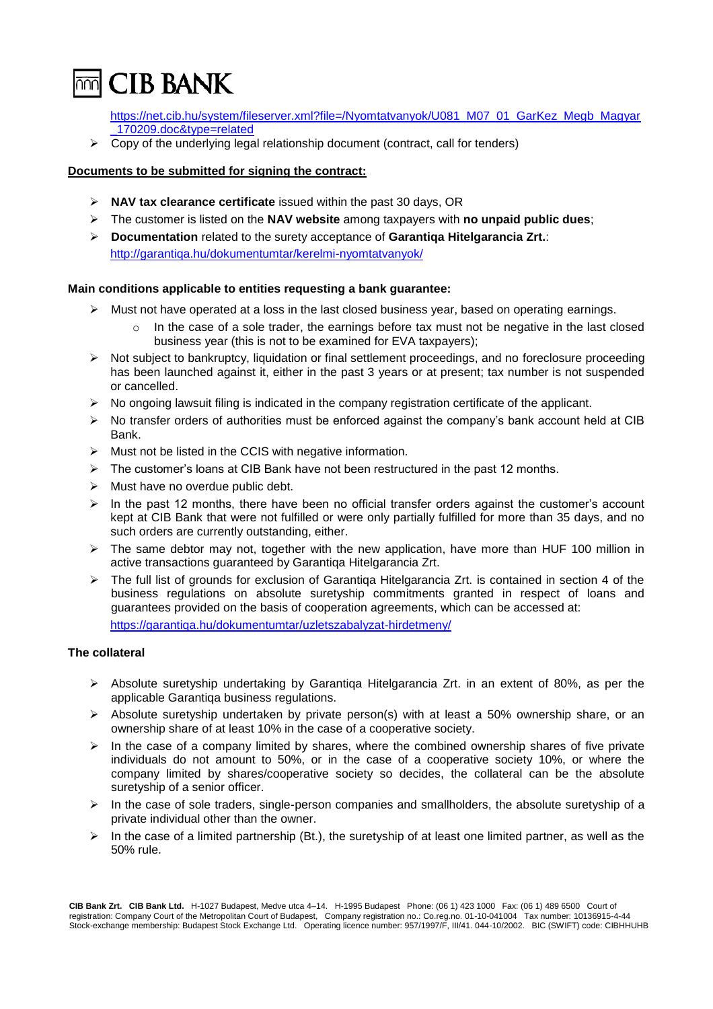

[https://net.cib.hu/system/fileserver.xml?file=/Nyomtatvanyok/U081\\_M07\\_01\\_GarKez\\_Megb\\_Magyar](https://net.cib.hu/system/fileserver.xml?file=/Nyomtatvanyok/U081_M07_01_GarKez_Megb_Magyar_170209.doc&amp;type=related) [\\_170209.doc&type=related](https://net.cib.hu/system/fileserver.xml?file=/Nyomtatvanyok/U081_M07_01_GarKez_Megb_Magyar_170209.doc&amp;type=related)

 $\triangleright$  Copy of the underlying legal relationship document (contract, call for tenders)

### **Documents to be submitted for signing the contract:**

- ➢ **NAV tax clearance certificate** issued within the past 30 days, OR
- ➢ The customer is listed on the **NAV website** among taxpayers with **no unpaid public dues**;
- ➢ **Documentation** related to the surety acceptance of **Garantiqa Hitelgarancia Zrt.**: <http://garantiqa.hu/dokumentumtar/kerelmi-nyomtatvanyok/>

### **Main conditions applicable to entities requesting a bank guarantee:**

- $\triangleright$  Must not have operated at a loss in the last closed business year, based on operating earnings.
	- $\circ$  In the case of a sole trader, the earnings before tax must not be negative in the last closed business year (this is not to be examined for EVA taxpayers);
- ➢ Not subject to bankruptcy, liquidation or final settlement proceedings, and no foreclosure proceeding has been launched against it, either in the past 3 years or at present; tax number is not suspended or cancelled.
- $\triangleright$  No ongoing lawsuit filing is indicated in the company registration certificate of the applicant.
- $\triangleright$  No transfer orders of authorities must be enforced against the company's bank account held at CIB Bank.
- ➢ Must not be listed in the CCIS with negative information.
- $\triangleright$  The customer's loans at CIB Bank have not been restructured in the past 12 months.
- $\triangleright$  Must have no overdue public debt.
- $\triangleright$  In the past 12 months, there have been no official transfer orders against the customer's account kept at CIB Bank that were not fulfilled or were only partially fulfilled for more than 35 days, and no such orders are currently outstanding, either.
- $\triangleright$  The same debtor may not, together with the new application, have more than HUF 100 million in active transactions guaranteed by Garantiqa Hitelgarancia Zrt.
- ➢ The full list of grounds for exclusion of Garantiqa Hitelgarancia Zrt. is contained in section 4 of the business regulations on absolute suretyship commitments granted in respect of loans and guarantees provided on the basis of cooperation agreements, which can be accessed at: https://garantiqa.hu/dokumentumtar/uzletszabalyzat-hirdetmeny/

## **The collateral**

- ➢ Absolute suretyship undertaking by Garantiqa Hitelgarancia Zrt. in an extent of 80%, as per the applicable Garantiqa business regulations.
- ➢ Absolute suretyship undertaken by private person(s) with at least a 50% ownership share, or an ownership share of at least 10% in the case of a cooperative society.
- $\triangleright$  In the case of a company limited by shares, where the combined ownership shares of five private individuals do not amount to 50%, or in the case of a cooperative society 10%, or where the company limited by shares/cooperative society so decides, the collateral can be the absolute suretyship of a senior officer.
- $\triangleright$  In the case of sole traders, single-person companies and smallholders, the absolute suretyship of a private individual other than the owner.
- $\triangleright$  In the case of a limited partnership (Bt.), the suretyship of at least one limited partner, as well as the 50% rule.